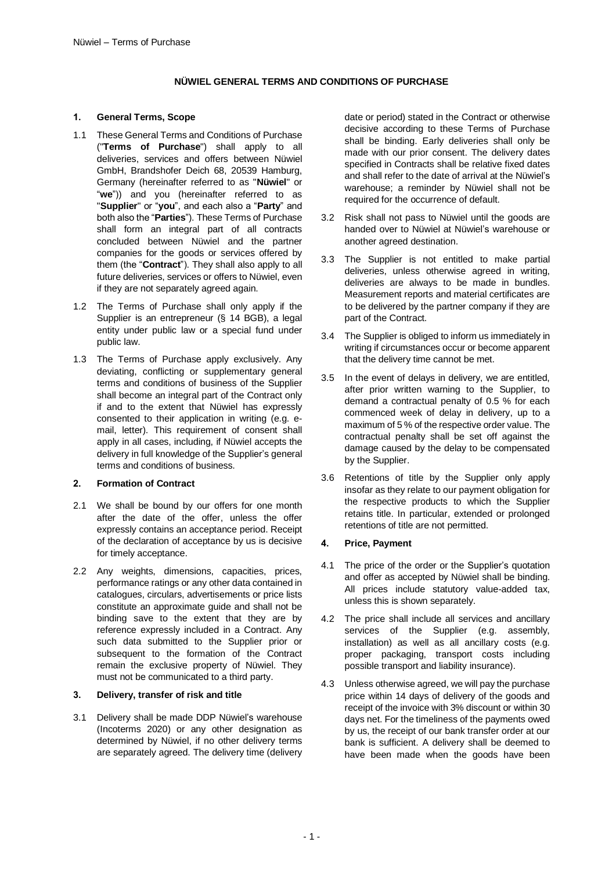# **NÜWIEL GENERAL TERMS AND CONDITIONS OF PURCHASE**

#### **1. General Terms, Scope**

- 1.1 These General Terms and Conditions of Purchase ("**Terms of Purchase**") shall apply to all deliveries, services and offers between Nüwiel GmbH, Brandshofer Deich 68, 20539 Hamburg, Germany (hereinafter referred to as "**Nüwiel**" or "**we**")) and you (hereinafter referred to as "**Supplier**" or "**you**", and each also a "**Party**" and both also the "**Parties**"). These Terms of Purchase shall form an integral part of all contracts concluded between Nüwiel and the partner companies for the goods or services offered by them (the "**Contract**"). They shall also apply to all future deliveries, services or offers to Nüwiel, even if they are not separately agreed again.
- 1.2 The Terms of Purchase shall only apply if the Supplier is an entrepreneur (§ 14 BGB), a legal entity under public law or a special fund under public law.
- 1.3 The Terms of Purchase apply exclusively. Any deviating, conflicting or supplementary general terms and conditions of business of the Supplier shall become an integral part of the Contract only if and to the extent that Nüwiel has expressly consented to their application in writing (e.g. email, letter). This requirement of consent shall apply in all cases, including, if Nüwiel accepts the delivery in full knowledge of the Supplier's general terms and conditions of business.

# **2. Formation of Contract**

- 2.1 We shall be bound by our offers for one month after the date of the offer, unless the offer expressly contains an acceptance period. Receipt of the declaration of acceptance by us is decisive for timely acceptance.
- 2.2 Any weights, dimensions, capacities, prices, performance ratings or any other data contained in catalogues, circulars, advertisements or price lists constitute an approximate guide and shall not be binding save to the extent that they are by reference expressly included in a Contract. Any such data submitted to the Supplier prior or subsequent to the formation of the Contract remain the exclusive property of Nüwiel. They must not be communicated to a third party.

# **3. Delivery, transfer of risk and title**

3.1 Delivery shall be made DDP Nüwiel's warehouse (Incoterms 2020) or any other designation as determined by Nüwiel, if no other delivery terms are separately agreed. The delivery time (delivery date or period) stated in the Contract or otherwise decisive according to these Terms of Purchase shall be binding. Early deliveries shall only be made with our prior consent. The delivery dates specified in Contracts shall be relative fixed dates and shall refer to the date of arrival at the Nüwiel's warehouse; a reminder by Nüwiel shall not be required for the occurrence of default.

- 3.2 Risk shall not pass to Nüwiel until the goods are handed over to Nüwiel at Nüwiel's warehouse or another agreed destination.
- 3.3 The Supplier is not entitled to make partial deliveries, unless otherwise agreed in writing, deliveries are always to be made in bundles. Measurement reports and material certificates are to be delivered by the partner company if they are part of the Contract.
- 3.4 The Supplier is obliged to inform us immediately in writing if circumstances occur or become apparent that the delivery time cannot be met.
- 3.5 In the event of delays in delivery, we are entitled, after prior written warning to the Supplier, to demand a contractual penalty of 0.5 % for each commenced week of delay in delivery, up to a maximum of 5 % of the respective order value. The contractual penalty shall be set off against the damage caused by the delay to be compensated by the Supplier.
- 3.6 Retentions of title by the Supplier only apply insofar as they relate to our payment obligation for the respective products to which the Supplier retains title. In particular, extended or prolonged retentions of title are not permitted.

# **4. Price, Payment**

- 4.1 The price of the order or the Supplier's quotation and offer as accepted by Nüwiel shall be binding. All prices include statutory value-added tax, unless this is shown separately.
- 4.2 The price shall include all services and ancillary services of the Supplier (e.g. assembly, installation) as well as all ancillary costs (e.g. proper packaging, transport costs including possible transport and liability insurance).
- <span id="page-0-0"></span>4.3 Unless otherwise agreed, we will pay the purchase price within 14 days of delivery of the goods and receipt of the invoice with 3% discount or within 30 days net. For the timeliness of the payments owed by us, the receipt of our bank transfer order at our bank is sufficient. A delivery shall be deemed to have been made when the goods have been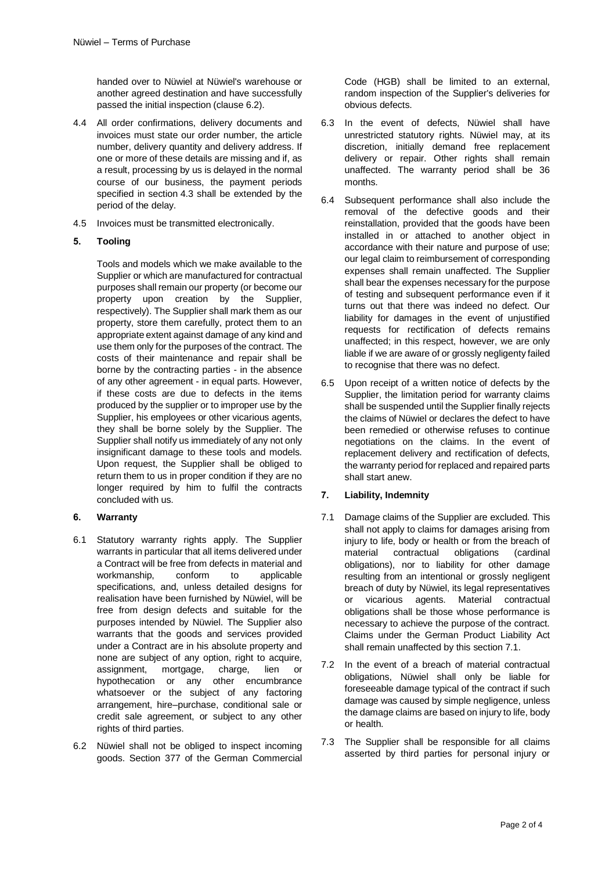handed over to Nüwiel at Nüwiel's warehouse or another agreed destination and have successfully passed the initial inspection (clause 6.2).

- 4.4 All order confirmations, delivery documents and invoices must state our order number, the article number, delivery quantity and delivery address. If one or more of these details are missing and if, as a result, processing by us is delayed in the normal course of our business, the payment periods specified in section [4.3](#page-0-0) shall be extended by the period of the delay.
- 4.5 Invoices must be transmitted electronically.

# **5. Tooling**

Tools and models which we make available to the Supplier or which are manufactured for contractual purposes shall remain our property (or become our property upon creation by the Supplier, respectively). The Supplier shall mark them as our property, store them carefully, protect them to an appropriate extent against damage of any kind and use them only for the purposes of the contract. The costs of their maintenance and repair shall be borne by the contracting parties - in the absence of any other agreement - in equal parts. However, if these costs are due to defects in the items produced by the supplier or to improper use by the Supplier, his employees or other vicarious agents, they shall be borne solely by the Supplier. The Supplier shall notify us immediately of any not only insignificant damage to these tools and models. Upon request, the Supplier shall be obliged to return them to us in proper condition if they are no longer required by him to fulfil the contracts concluded with us.

# **6. Warranty**

- 6.1 Statutory warranty rights apply. The Supplier warrants in particular that all items delivered under a Contract will be free from defects in material and workmanship, conform to applicable specifications, and, unless detailed designs for realisation have been furnished by Nüwiel, will be free from design defects and suitable for the purposes intended by Nüwiel. The Supplier also warrants that the goods and services provided under a Contract are in his absolute property and none are subject of any option, right to acquire, assignment, mortgage, charge, lien or hypothecation or any other encumbrance whatsoever or the subject of any factoring arrangement, hire–purchase, conditional sale or credit sale agreement, or subject to any other rights of third parties.
- 6.2 Nüwiel shall not be obliged to inspect incoming goods. Section 377 of the German Commercial

Code (HGB) shall be limited to an external, random inspection of the Supplier's deliveries for obvious defects.

- 6.3 In the event of defects, Nüwiel shall have unrestricted statutory rights. Nüwiel may, at its discretion, initially demand free replacement delivery or repair. Other rights shall remain unaffected. The warranty period shall be 36 months.
- 6.4 Subsequent performance shall also include the removal of the defective goods and their reinstallation, provided that the goods have been installed in or attached to another object in accordance with their nature and purpose of use; our legal claim to reimbursement of corresponding expenses shall remain unaffected. The Supplier shall bear the expenses necessary for the purpose of testing and subsequent performance even if it turns out that there was indeed no defect. Our liability for damages in the event of unjustified requests for rectification of defects remains unaffected; in this respect, however, we are only liable if we are aware of or grossly negligenty failed to recognise that there was no defect.
- 6.5 Upon receipt of a written notice of defects by the Supplier, the limitation period for warranty claims shall be suspended until the Supplier finally rejects the claims of Nüwiel or declares the defect to have been remedied or otherwise refuses to continue negotiations on the claims. In the event of replacement delivery and rectification of defects, the warranty period for replaced and repaired parts shall start anew.

# **7. Liability, Indemnity**

- <span id="page-1-0"></span>7.1 Damage claims of the Supplier are excluded. This shall not apply to claims for damages arising from injury to life, body or health or from the breach of material contractual obligations (cardinal obligations), nor to liability for other damage resulting from an intentional or grossly negligent breach of duty by Nüwiel, its legal representatives or vicarious agents. Material contractual obligations shall be those whose performance is necessary to achieve the purpose of the contract. Claims under the German Product Liability Act shall remain unaffected by this sectio[n 7.1.](#page-1-0)
- 7.2 In the event of a breach of material contractual obligations, Nüwiel shall only be liable for foreseeable damage typical of the contract if such damage was caused by simple negligence, unless the damage claims are based on injury to life, body or health.
- 7.3 The Supplier shall be responsible for all claims asserted by third parties for personal injury or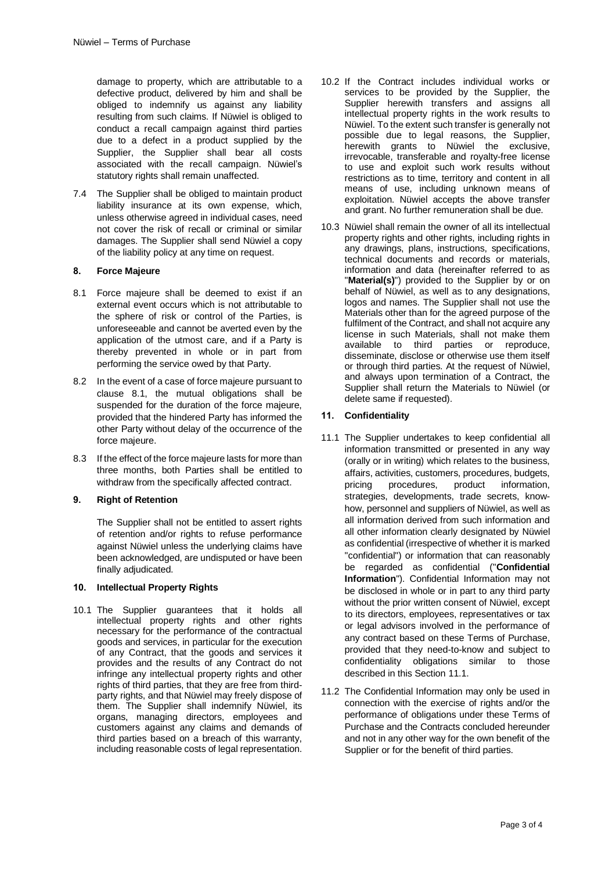damage to property, which are attributable to a defective product, delivered by him and shall be obliged to indemnify us against any liability resulting from such claims. If Nüwiel is obliged to conduct a recall campaign against third parties due to a defect in a product supplied by the Supplier, the Supplier shall bear all costs associated with the recall campaign. Nüwiel's statutory rights shall remain unaffected.

7.4 The Supplier shall be obliged to maintain product liability insurance at its own expense, which, unless otherwise agreed in individual cases, need not cover the risk of recall or criminal or similar damages. The Supplier shall send Nüwiel a copy of the liability policy at any time on request.

#### **8. Force Majeure**

- <span id="page-2-0"></span>8.1 Force majeure shall be deemed to exist if an external event occurs which is not attributable to the sphere of risk or control of the Parties, is unforeseeable and cannot be averted even by the application of the utmost care, and if a Party is thereby prevented in whole or in part from performing the service owed by that Party.
- 8.2 In the event of a case of force majeure pursuant to clause [8.1,](#page-2-0) the mutual obligations shall be suspended for the duration of the force majeure, provided that the hindered Party has informed the other Party without delay of the occurrence of the force majeure.
- 8.3 If the effect of the force majeure lasts for more than three months, both Parties shall be entitled to withdraw from the specifically affected contract.

#### **9. Right of Retention**

The Supplier shall not be entitled to assert rights of retention and/or rights to refuse performance against Nüwiel unless the underlying claims have been acknowledged, are undisputed or have been finally adjudicated.

#### **10. Intellectual Property Rights**

10.1 The Supplier guarantees that it holds all intellectual property rights and other rights necessary for the performance of the contractual goods and services, in particular for the execution of any Contract, that the goods and services it provides and the results of any Contract do not infringe any intellectual property rights and other rights of third parties, that they are free from thirdparty rights, and that Nüwiel may freely dispose of them. The Supplier shall indemnify Nüwiel, its organs, managing directors, employees and customers against any claims and demands of third parties based on a breach of this warranty, including reasonable costs of legal representation.

- 10.2 If the Contract includes individual works or services to be provided by the Supplier, the Supplier herewith transfers and assigns all intellectual property rights in the work results to Nüwiel. To the extent such transfer is generally not possible due to legal reasons, the Supplier, herewith grants to Nüwiel the exclusive, irrevocable, transferable and royalty-free license to use and exploit such work results without restrictions as to time, territory and content in all means of use, including unknown means of exploitation. Nüwiel accepts the above transfer and grant. No further remuneration shall be due.
- 10.3 Nüwiel shall remain the owner of all its intellectual property rights and other rights, including rights in any drawings, plans, instructions, specifications, technical documents and records or materials, information and data (hereinafter referred to as "**Material(s)**") provided to the Supplier by or on behalf of Nüwiel, as well as to any designations, logos and names. The Supplier shall not use the Materials other than for the agreed purpose of the fulfilment of the Contract, and shall not acquire any license in such Materials, shall not make them available to third parties or reproduce, disseminate, disclose or otherwise use them itself or through third parties. At the request of Nüwiel, and always upon termination of a Contract, the Supplier shall return the Materials to Nüwiel (or delete same if requested).

#### **11. Confidentiality**

- <span id="page-2-1"></span>11.1 The Supplier undertakes to keep confidential all information transmitted or presented in any way (orally or in writing) which relates to the business, affairs, activities, customers, procedures, budgets, pricing procedures, product information, strategies, developments, trade secrets, knowhow, personnel and suppliers of Nüwiel, as well as all information derived from such information and all other information clearly designated by Nüwiel as confidential (irrespective of whether it is marked "confidential") or information that can reasonably be regarded as confidential ("**Confidential Information**"). Confidential Information may not be disclosed in whole or in part to any third party without the prior written consent of Nüwiel, except to its directors, employees, representatives or tax or legal advisors involved in the performance of any contract based on these Terms of Purchase, provided that they need-to-know and subject to confidentiality obligations similar to those described in this Section [11.1.](#page-2-1)
- 11.2 The Confidential Information may only be used in connection with the exercise of rights and/or the performance of obligations under these Terms of Purchase and the Contracts concluded hereunder and not in any other way for the own benefit of the Supplier or for the benefit of third parties.